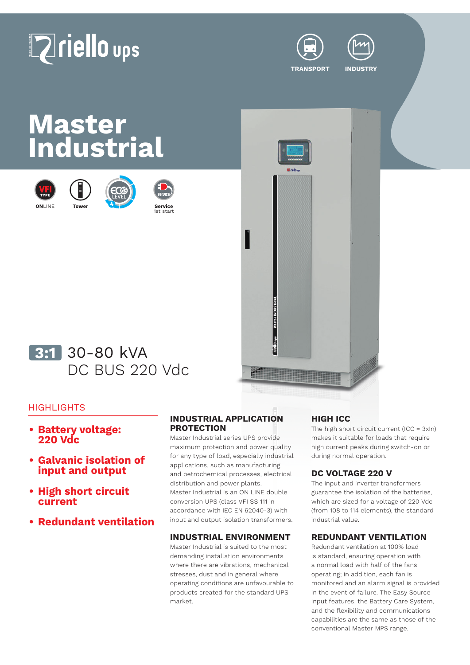# **Zriello** ups



**TRANSPORT INDUSTRY**

## **Master Industrial**











### <mark>3:1</mark> 30-80 kVA DC BUS 220 Vdc

#### **HIGHLIGHTS**

- **• Battery voltage: 220 Vdc**
- **• Galvanic isolation of input and output**
- **• High short circuit current**
- **• Redundant ventilation**

#### **INDUSTRIAL APPLICATION PROTECTION**

Master Industrial series UPS provide maximum protection and power quality for any type of load, especially industrial applications, such as manufacturing and petrochemical processes, electrical distribution and power plants. Master Industrial is an ON LINE double conversion UPS (class VFI SS 111 in accordance with IEC EN 62040-3) with input and output isolation transformers.

#### **INDUSTRIAL ENVIRONMENT**

Master Industrial is suited to the most demanding installation environments where there are vibrations, mechanical stresses, dust and in general where operating conditions are unfavourable to products created for the standard UPS market.

#### **HIGH ICC**

The high short circuit current  $(ICC = 3xIn)$ makes it suitable for loads that require high current peaks during switch-on or during normal operation.

#### **DC VOLTAGE 220 V**

The input and inverter transformers guarantee the isolation of the batteries, which are sized for a voltage of 220 Vdc (from 108 to 114 elements), the standard industrial value.

#### **REDUNDANT VENTILATION**

Redundant ventilation at 100% load is standard, ensuring operation with a normal load with half of the fans operating; in addition, each fan is monitored and an alarm signal is provided in the event of failure. The Easy Source input features, the Battery Care System, and the flexibility and communications capabilities are the same as those of the conventional Master MPS range.